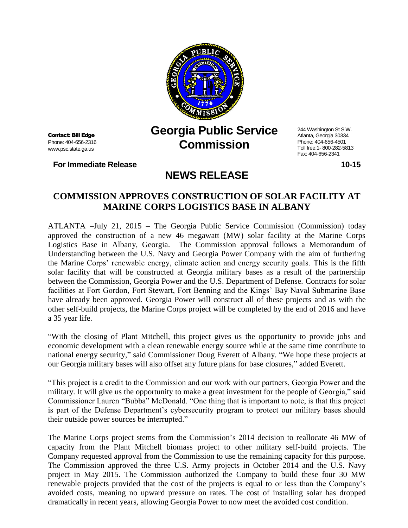

Contact: Bill Edge Phone: 404-656-2316 www.psc.state.ga.us

**For Immediate Release 10-15**

## **Georgia Public Service Commission**

244 Washington St S.W. Atlanta, Georgia 30334 Phone: 404-656-4501 Toll free:1- 800-282-5813 Fax: 404-656-2341

## **COMMISSION APPROVES CONSTRUCTION OF SOLAR FACILITY AT MARINE CORPS LOGISTICS BASE IN ALBANY**

**NEWS RELEASE**

ATLANTA –July 21, 2015 – The Georgia Public Service Commission (Commission) today approved the construction of a new 46 megawatt (MW) solar facility at the Marine Corps Logistics Base in Albany, Georgia. The Commission approval follows a Memorandum of Understanding between the U.S. Navy and Georgia Power Company with the aim of furthering the Marine Corps' renewable energy, climate action and energy security goals. This is the fifth solar facility that will be constructed at Georgia military bases as a result of the partnership between the Commission, Georgia Power and the U.S. Department of Defense. Contracts for solar facilities at Fort Gordon, Fort Stewart, Fort Benning and the Kings' Bay Naval Submarine Base have already been approved. Georgia Power will construct all of these projects and as with the other self-build projects, the Marine Corps project will be completed by the end of 2016 and have a 35 year life.

"With the closing of Plant Mitchell, this project gives us the opportunity to provide jobs and economic development with a clean renewable energy source while at the same time contribute to national energy security," said Commissioner Doug Everett of Albany. "We hope these projects at our Georgia military bases will also offset any future plans for base closures," added Everett.

"This project is a credit to the Commission and our work with our partners, Georgia Power and the military. It will give us the opportunity to make a great investment for the people of Georgia," said Commissioner Lauren "Bubba" McDonald. "One thing that is important to note, is that this project is part of the Defense Department's cybersecurity program to protect our military bases should their outside power sources be interrupted."

The Marine Corps project stems from the Commission's 2014 decision to reallocate 46 MW of capacity from the Plant Mitchell biomass project to other military self-build projects. The Company requested approval from the Commission to use the remaining capacity for this purpose. The Commission approved the three U.S. Army projects in October 2014 and the U.S. Navy project in May 2015. The Commission authorized the Company to build these four 30 MW renewable projects provided that the cost of the projects is equal to or less than the Company's avoided costs, meaning no upward pressure on rates. The cost of installing solar has dropped dramatically in recent years, allowing Georgia Power to now meet the avoided cost condition.